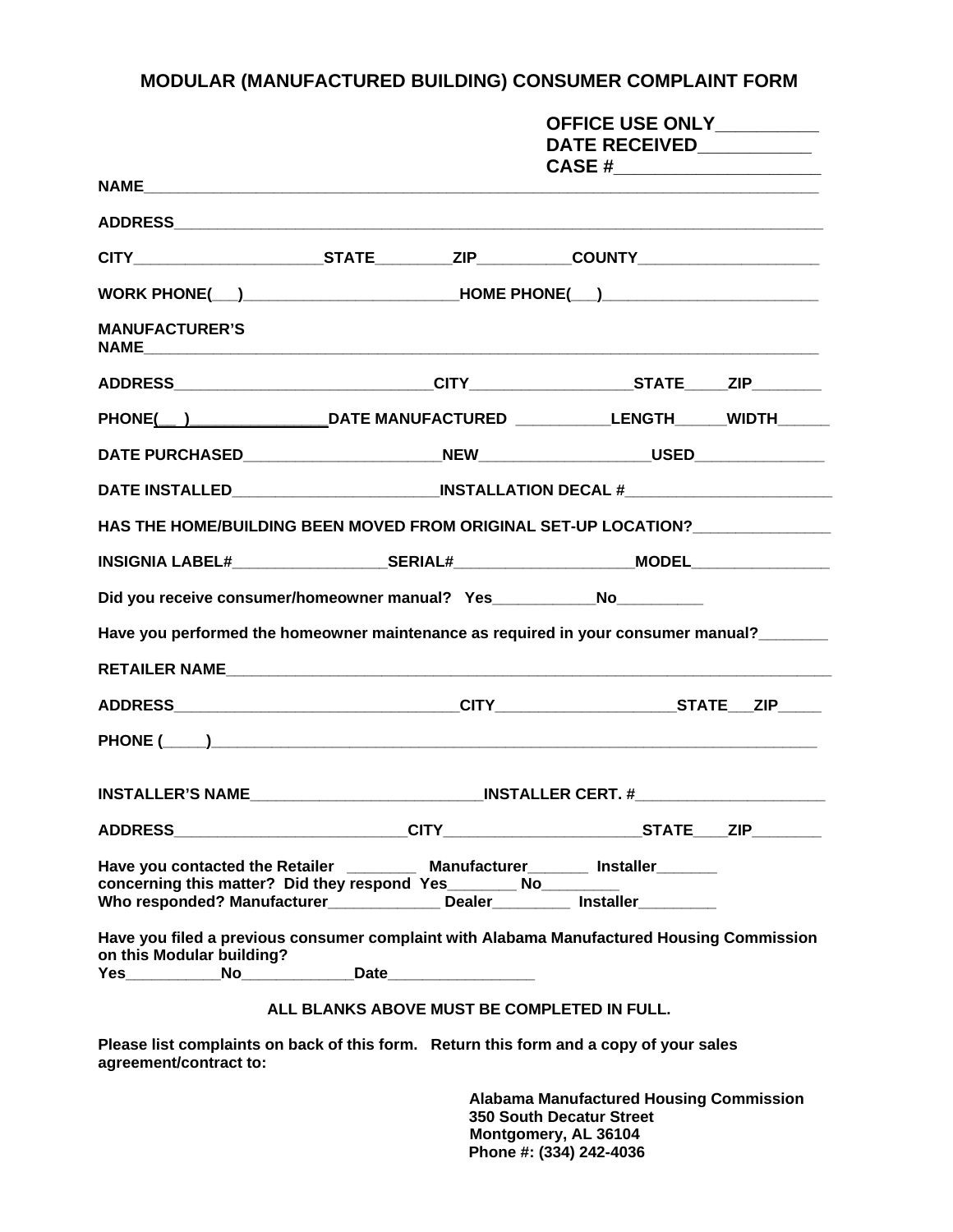## **MODULAR (MANUFACTURED BUILDING) CONSUMER COMPLAINT FORM**

|                                                                                                                                                                                                                                                              |                                                                                        |                                                                                  | OFFICE USE ONLY_________                                 |  |  |
|--------------------------------------------------------------------------------------------------------------------------------------------------------------------------------------------------------------------------------------------------------------|----------------------------------------------------------------------------------------|----------------------------------------------------------------------------------|----------------------------------------------------------|--|--|
|                                                                                                                                                                                                                                                              |                                                                                        |                                                                                  | DATE RECEIVED___________<br>CASE #______________________ |  |  |
|                                                                                                                                                                                                                                                              |                                                                                        |                                                                                  |                                                          |  |  |
|                                                                                                                                                                                                                                                              |                                                                                        |                                                                                  |                                                          |  |  |
|                                                                                                                                                                                                                                                              |                                                                                        |                                                                                  |                                                          |  |  |
|                                                                                                                                                                                                                                                              |                                                                                        |                                                                                  |                                                          |  |  |
| <b>MANUFACTURER'S</b>                                                                                                                                                                                                                                        |                                                                                        |                                                                                  |                                                          |  |  |
|                                                                                                                                                                                                                                                              |                                                                                        |                                                                                  |                                                          |  |  |
|                                                                                                                                                                                                                                                              | PHONE( ) ______________________DATE MANUFACTURED _____________LENGTH_______WIDTH______ |                                                                                  |                                                          |  |  |
|                                                                                                                                                                                                                                                              |                                                                                        |                                                                                  |                                                          |  |  |
| DATE INSTALLED_______________________________INSTALLATION DECAL #________________                                                                                                                                                                            |                                                                                        |                                                                                  |                                                          |  |  |
| HAS THE HOME/BUILDING BEEN MOVED FROM ORIGINAL SET-UP LOCATION?                                                                                                                                                                                              |                                                                                        |                                                                                  |                                                          |  |  |
|                                                                                                                                                                                                                                                              |                                                                                        |                                                                                  |                                                          |  |  |
| Did you receive consumer/homeowner manual? Yes_____________No___________                                                                                                                                                                                     |                                                                                        |                                                                                  |                                                          |  |  |
| Have you performed the homeowner maintenance as required in your consumer manual?                                                                                                                                                                            |                                                                                        |                                                                                  |                                                          |  |  |
|                                                                                                                                                                                                                                                              |                                                                                        |                                                                                  |                                                          |  |  |
|                                                                                                                                                                                                                                                              |                                                                                        |                                                                                  |                                                          |  |  |
|                                                                                                                                                                                                                                                              |                                                                                        |                                                                                  |                                                          |  |  |
|                                                                                                                                                                                                                                                              |                                                                                        | INSTALLER'S NAME_______________________________INSTALLER CERT. #________________ |                                                          |  |  |
|                                                                                                                                                                                                                                                              |                                                                                        |                                                                                  |                                                          |  |  |
| Have you contacted the Retailer ____________ Manufacturer_________ Installer_______<br>concerning this matter? Did they respond Yes________ No___________ Wo____________<br>Who responded? Manufacturer________________ Dealer___________ Installer_________ |                                                                                        |                                                                                  |                                                          |  |  |
| Have you filed a previous consumer complaint with Alabama Manufactured Housing Commission<br>on this Modular building?                                                                                                                                       |                                                                                        |                                                                                  |                                                          |  |  |
|                                                                                                                                                                                                                                                              |                                                                                        |                                                                                  |                                                          |  |  |

## **ALL BLANKS ABOVE MUST BE COMPLETED IN FULL.**

**Please list complaints on back of this form. Return this form and a copy of your sales agreement/contract to:** 

> **Alabama Manufactured Housing Commission 350 South Decatur Street Montgomery, AL 36104 Phone #: (334) 242-4036**